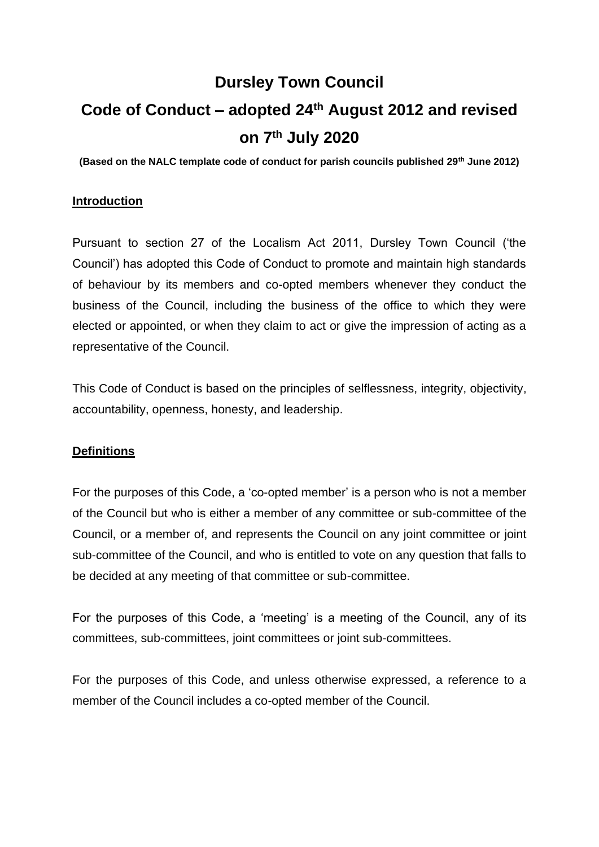# **Dursley Town Council Code of Conduct – adopted 24th August 2012 and revised on 7th July 2020**

**(Based on the NALC template code of conduct for parish councils published 29th June 2012)**

## **Introduction**

Pursuant to section 27 of the Localism Act 2011, Dursley Town Council ('the Council') has adopted this Code of Conduct to promote and maintain high standards of behaviour by its members and co-opted members whenever they conduct the business of the Council, including the business of the office to which they were elected or appointed, or when they claim to act or give the impression of acting as a representative of the Council.

This Code of Conduct is based on the principles of selflessness, integrity, objectivity, accountability, openness, honesty, and leadership.

#### **Definitions**

For the purposes of this Code, a 'co-opted member' is a person who is not a member of the Council but who is either a member of any committee or sub-committee of the Council, or a member of, and represents the Council on any joint committee or joint sub-committee of the Council, and who is entitled to vote on any question that falls to be decided at any meeting of that committee or sub-committee.

For the purposes of this Code, a 'meeting' is a meeting of the Council, any of its committees, sub-committees, joint committees or joint sub-committees.

For the purposes of this Code, and unless otherwise expressed, a reference to a member of the Council includes a co-opted member of the Council.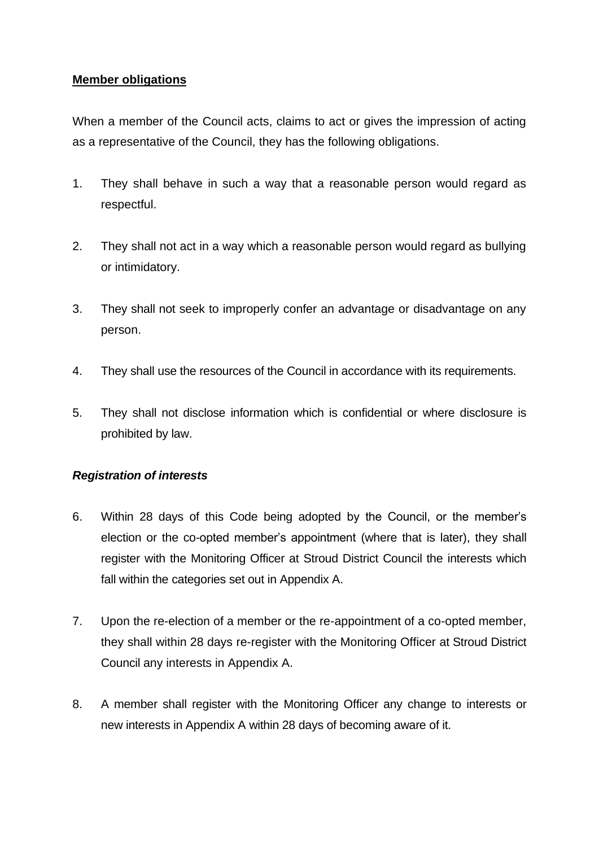## **Member obligations**

When a member of the Council acts, claims to act or gives the impression of acting as a representative of the Council, they has the following obligations.

- 1. They shall behave in such a way that a reasonable person would regard as respectful.
- 2. They shall not act in a way which a reasonable person would regard as bullying or intimidatory.
- 3. They shall not seek to improperly confer an advantage or disadvantage on any person.
- 4. They shall use the resources of the Council in accordance with its requirements.
- 5. They shall not disclose information which is confidential or where disclosure is prohibited by law.

## *Registration of interests*

- 6. Within 28 days of this Code being adopted by the Council, or the member's election or the co-opted member's appointment (where that is later), they shall register with the Monitoring Officer at Stroud District Council the interests which fall within the categories set out in Appendix A.
- 7. Upon the re-election of a member or the re-appointment of a co-opted member, they shall within 28 days re-register with the Monitoring Officer at Stroud District Council any interests in Appendix A.
- 8. A member shall register with the Monitoring Officer any change to interests or new interests in Appendix A within 28 days of becoming aware of it.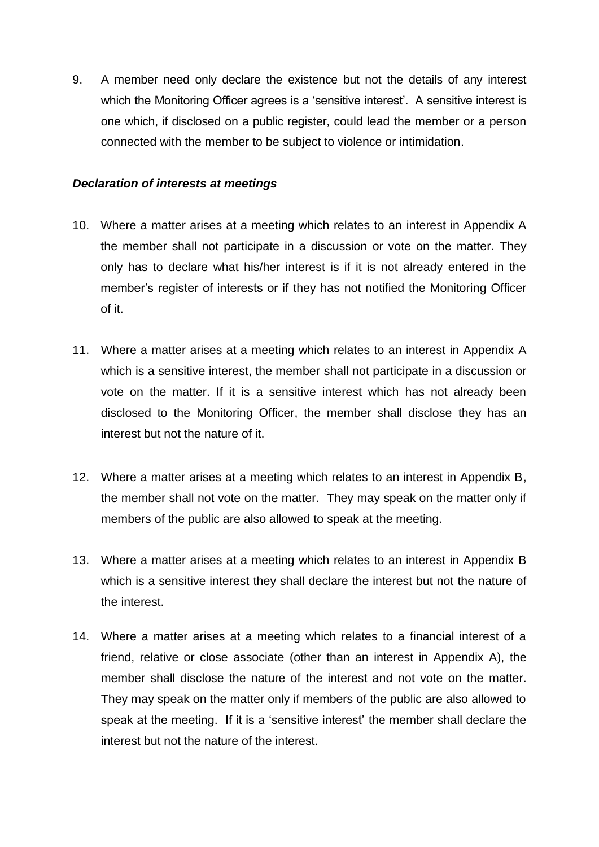9. A member need only declare the existence but not the details of any interest which the Monitoring Officer agrees is a 'sensitive interest'. A sensitive interest is one which, if disclosed on a public register, could lead the member or a person connected with the member to be subject to violence or intimidation.

#### *Declaration of interests at meetings*

- 10. Where a matter arises at a meeting which relates to an interest in Appendix A the member shall not participate in a discussion or vote on the matter. They only has to declare what his/her interest is if it is not already entered in the member's register of interests or if they has not notified the Monitoring Officer of it.
- 11. Where a matter arises at a meeting which relates to an interest in Appendix A which is a sensitive interest, the member shall not participate in a discussion or vote on the matter. If it is a sensitive interest which has not already been disclosed to the Monitoring Officer, the member shall disclose they has an interest but not the nature of it.
- 12. Where a matter arises at a meeting which relates to an interest in Appendix B, the member shall not vote on the matter. They may speak on the matter only if members of the public are also allowed to speak at the meeting.
- 13. Where a matter arises at a meeting which relates to an interest in Appendix B which is a sensitive interest they shall declare the interest but not the nature of the interest.
- 14. Where a matter arises at a meeting which relates to a financial interest of a friend, relative or close associate (other than an interest in Appendix A), the member shall disclose the nature of the interest and not vote on the matter. They may speak on the matter only if members of the public are also allowed to speak at the meeting. If it is a 'sensitive interest' the member shall declare the interest but not the nature of the interest.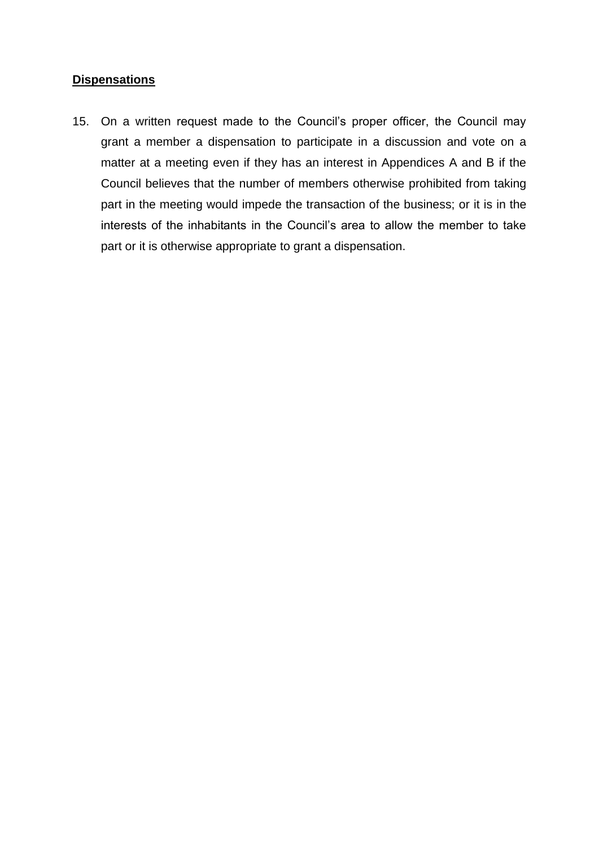## **Dispensations**

15. On a written request made to the Council's proper officer, the Council may grant a member a dispensation to participate in a discussion and vote on a matter at a meeting even if they has an interest in Appendices A and B if the Council believes that the number of members otherwise prohibited from taking part in the meeting would impede the transaction of the business; or it is in the interests of the inhabitants in the Council's area to allow the member to take part or it is otherwise appropriate to grant a dispensation.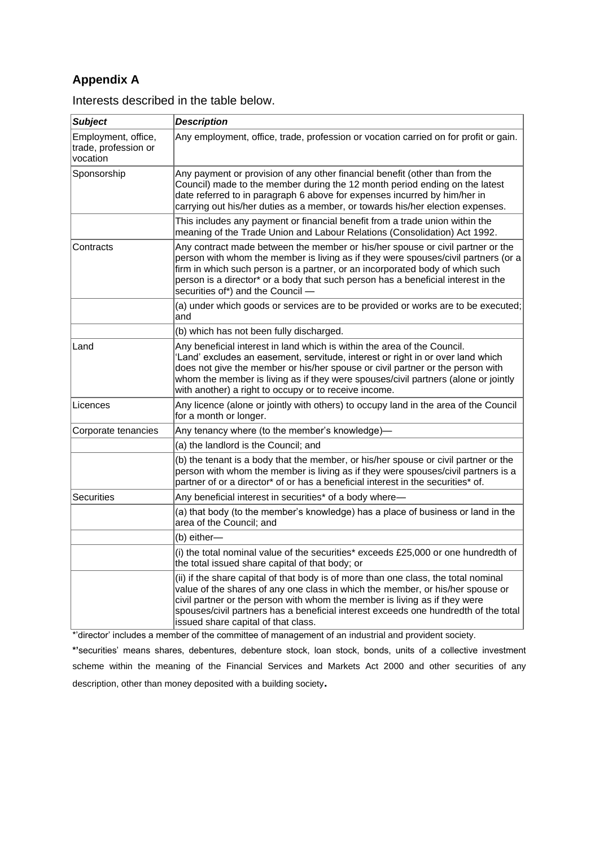# **Appendix A**

| <b>Subject</b>                                          | <b>Description</b>                                                                                                                                                                                                                                                                                                                                                                           |
|---------------------------------------------------------|----------------------------------------------------------------------------------------------------------------------------------------------------------------------------------------------------------------------------------------------------------------------------------------------------------------------------------------------------------------------------------------------|
| Employment, office,<br>trade, profession or<br>vocation | Any employment, office, trade, profession or vocation carried on for profit or gain.                                                                                                                                                                                                                                                                                                         |
| Sponsorship                                             | Any payment or provision of any other financial benefit (other than from the<br>Council) made to the member during the 12 month period ending on the latest<br>date referred to in paragraph 6 above for expenses incurred by him/her in<br>carrying out his/her duties as a member, or towards his/her election expenses.                                                                   |
|                                                         | This includes any payment or financial benefit from a trade union within the<br>meaning of the Trade Union and Labour Relations (Consolidation) Act 1992.                                                                                                                                                                                                                                    |
| Contracts                                               | Any contract made between the member or his/her spouse or civil partner or the<br>person with whom the member is living as if they were spouses/civil partners (or a<br>firm in which such person is a partner, or an incorporated body of which such<br>person is a director* or a body that such person has a beneficial interest in the<br>securities of*) and the Council -              |
|                                                         | (a) under which goods or services are to be provided or works are to be executed;<br>and                                                                                                                                                                                                                                                                                                     |
|                                                         | (b) which has not been fully discharged.                                                                                                                                                                                                                                                                                                                                                     |
| ∣Land                                                   | Any beneficial interest in land which is within the area of the Council.<br>'Land' excludes an easement, servitude, interest or right in or over land which<br>does not give the member or his/her spouse or civil partner or the person with<br>whom the member is living as if they were spouses/civil partners (alone or jointly<br>with another) a right to occupy or to receive income. |
| Licences                                                | Any licence (alone or jointly with others) to occupy land in the area of the Council<br>for a month or longer.                                                                                                                                                                                                                                                                               |
| Corporate tenancies                                     | Any tenancy where (to the member's knowledge)-                                                                                                                                                                                                                                                                                                                                               |
|                                                         | (a) the landlord is the Council; and                                                                                                                                                                                                                                                                                                                                                         |
|                                                         | (b) the tenant is a body that the member, or his/her spouse or civil partner or the<br>person with whom the member is living as if they were spouses/civil partners is a<br>partner of or a director* of or has a beneficial interest in the securities* of.                                                                                                                                 |
| Securities                                              | Any beneficial interest in securities* of a body where-                                                                                                                                                                                                                                                                                                                                      |
|                                                         | (a) that body (to the member's knowledge) has a place of business or land in the<br>area of the Council; and                                                                                                                                                                                                                                                                                 |
|                                                         | (b) either-                                                                                                                                                                                                                                                                                                                                                                                  |
|                                                         | (i) the total nominal value of the securities* exceeds £25,000 or one hundredth of<br>the total issued share capital of that body; or                                                                                                                                                                                                                                                        |
|                                                         | (ii) if the share capital of that body is of more than one class, the total nominal<br>value of the shares of any one class in which the member, or his/her spouse or<br>civil partner or the person with whom the member is living as if they were<br>spouses/civil partners has a beneficial interest exceeds one hundredth of the total<br>issued share capital of that class.            |

Interests described in the table below.

\*'director' includes a member of the committee of management of an industrial and provident society.

**\*'**securities' means shares, debentures, debenture stock, loan stock, bonds, units of a collective investment scheme within the meaning of the Financial Services and Markets Act 2000 and other securities of any description, other than money deposited with a building society**.**